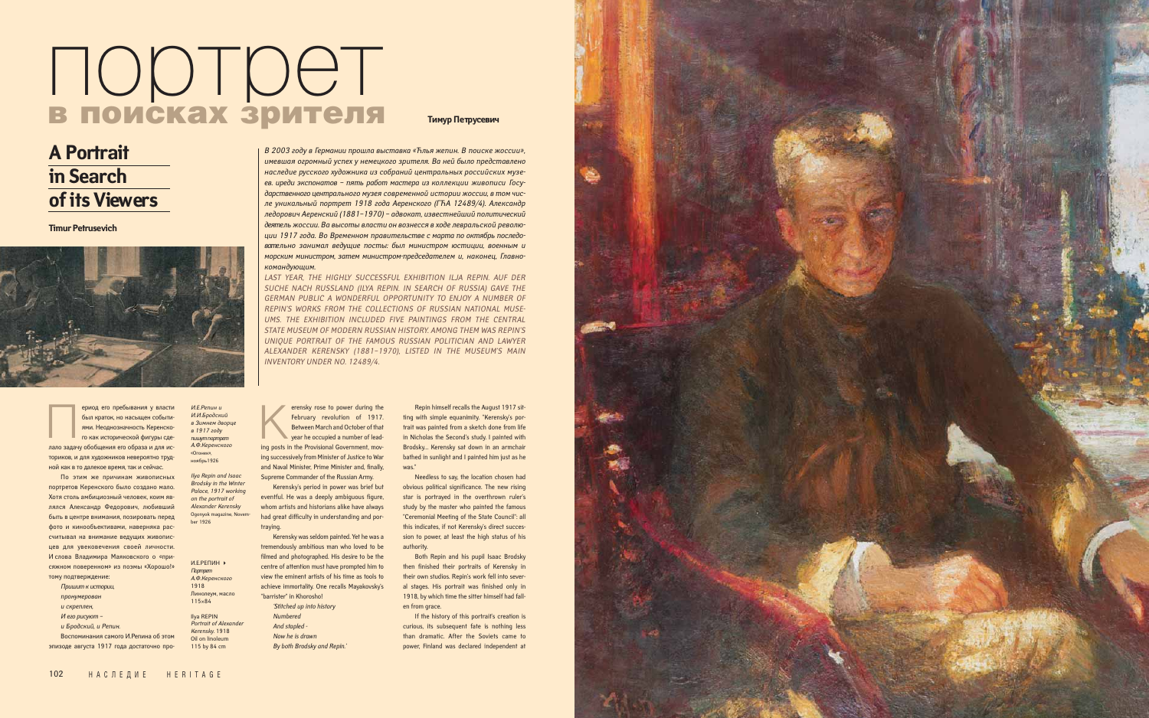ториков, и для художников невероятно трудной как в то далекое время, так и сейчас.

По этим же причинам живописных портретов Керенского было создано мало. Хотя столь амбициозный человек, коим являлся Александр Федорович, любивший быть в центре внимания, позировать перед фото и кинообъективами, наверняка рассчитывал на внимание ведущих живописцев для увековечения своей личности. И слова Владимира Маяковского о «присяжном поверенном» из поэмы «Хорошо!» тому подтверждение:

- *Пришит к истории,*
- *пронумерован*
- *и скреплен,*
- *И его рисуют –*
- 
- *и Бродский, и Репин.*

Воспоминания самого И.Репина об этом эпизоде августа 1917 года достаточно про-



*В 2003 году в Германии прошла выставка «Ћлья жепин. В поиске жоссии», имевшая огромный успех у немецкого зрителя. Ва ней было представлено наследие русского художника из собраний центральных российских музеев. иреди экспонатов – пять работ мастера из коллекции живописи Государственного центрального музея современной истории жоссии, в том числе уникальный портрет 1918 года Аеренского (ГЋА 12489/4). Александр ледорович Аеренский (1881–1970) – адвокат, известнейший политический деятель жоссии. Ва высоты власти он вознесся в ходе левральской революции 1917 года. Во Временном правительстве с марта по октябрь последовательно занимал ведущие посты: был министром юстиции, военным и морским министром, затем министром-председателем и, наконец, Главнокомандующим.*

*LAST YEAR, THE HIGHLY SUCCESSFUL EXHIBITION ILJA REPIN. AUF DER SUCHE NACH RUSSLAND (ILYA REPIN. IN SEARCH OF RUSSIA) GAVE THE GERMAN PUBLIC A WONDERFUL OPPORTUNITY TO ENJOY A NUMBER OF REPIN'S WORKS FROM THE COLLECTIONS OF RUSSIAN NATIONAL MUSE-UMS. THE EXHIBITION INCLUDED FIVE PAINTINGS FROM THE CENTRAL STATE MUSEUM OF MODERN RUSSIAN HISTORY. AMONG THEM WAS REPIN'S UNIQUE PORTRAIT OF THE FAMOUS RUSSIAN POLITICIAN AND LAWYER ALEXANDER KERENSKY (1881–1970), LISTED IN THE MUSEUM'S MAIN INVENTORY UNDER NO. 12489/4.* 

> Both Repin and his pupil Isaac Brodsky then finished their portraits of Kerensky in their own studios. Repin's work fell into several stages. His portrait was finished only in 1918, by which time the sitter himself had fallen from grace

**A Portrait** 

**in Search** 

**of its Viewers**

*И.Е.Репин и И.И.Бродский в Зимнем дворце* 

*в 1917 году пишут портрет А.Ф.Керенского* «Огонек», ноябрь1926 *Ilya Repin and Isaac*

*Brodsky in the Winter Palace, 1917 working on the portrait of Alexander Kerensky* Ogonyok magazine, November 1926

## портрет в поисках зрителя

И.Е.РЕПИН -*Портрет А.Ф.Керенского*  1918 Линолеум, масло 115×84 Ilya REPIN *Portrait of Alexander Kerensky.* 1918 Oil on linoleum 115 by 84 cm

## **Тимур Петрусевич**

**Timur Petrusevich** 



ериод его пребывания у власти был краток, но насыщен событиями. Неоднозначность Керенского как исторической фигуры сдеериод его пребывания у власти<br>был краток, но насыщен событи-<br>ями. Неоднозначность Керенско-<br>го как исторической фигуры сде-<br>лало задачу обобщения его образа и для ис-

erensky rose to power during the February revolution of 1917. Between March and October of that year he occupied a number of lead-February revolution of 1917.<br>
Between March and October of that<br>
year he occupied a number of lead-<br>
ing posts in the Provisional Government, moving successively from Minister of Justice to War and Naval Minister, Prime Minister and, finally, Supreme Commander of the Russian Army.

Kerensky's period in power was brief but eventful. He was a deeply ambiguous figure, whom artists and historians alike have always had great difficulty in understanding and portraying.

Kerensky was seldom painted. Yet he was a tremendously ambitious man who loved to be filmed and photographed. His desire to be the centre of attention must have prompted him to view the eminent artists of his time as tools to achieve immortality. One recalls Mayakovsky's "barrister" in Khorosho!

*'Stitched up into history Numbered And stapled - Now he is drawn By both Brodsky and Repin.'*

Repin himself recalls the August 1917 sitting with simple equanimity. "Kerensky's portrait was painted from a sketch done from life in Nicholas the Second's study. I painted with Brodsky… Kerensky sat down in an armchair bathed in sunlight and I painted him just as he was."

Needless to say, the location chosen had obvious political significance. The new rising star is portrayed in the overthrown ruler's study by the master who painted the famous "Ceremonial Meeting of the State Council": all this indicates, if not Kerensky's direct succession to power, at least the high status of his authority.

If the history of this portrait's creation is curious, its subsequent fate is nothing less than dramatic. After the Soviets came to power, Finland was declared independent at